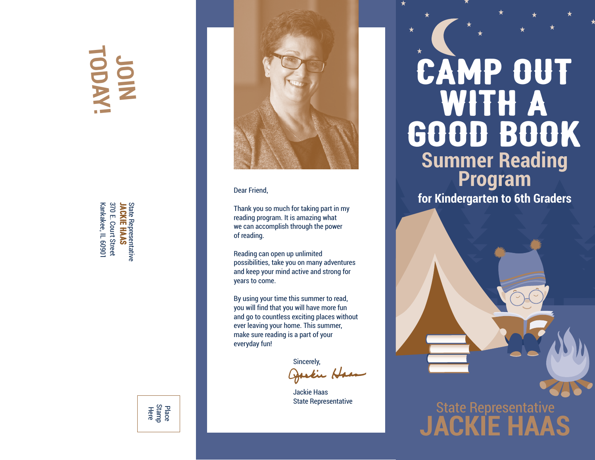## **JOIN TODAY!**

Kankakee, IL 6090 370 E. Court Street State Representative<br>JACKIE HAAS JACKIE HAAS Kankakee, IL 60901 370 E. Court Street State Representative



#### Dear Friend,

Thank you so much for taking part in my reading program. It is amazing what we can accomplish through the power of reading.

Reading can open up unlimited possibilities, take you on many adventures and keep your mind active and strong for years to come.

By using your time this summer to read, you will find that you will have more fun and go to countless exciting places without ever leaving your home. This summer, make sure reading is a part of your everyday fun!

Sincerely,

Jackie Haas State Representative

## **Summer Reading Program** CAMP OUT WITH A GOOD BOOK

**for Kindergarten to 6th Graders**